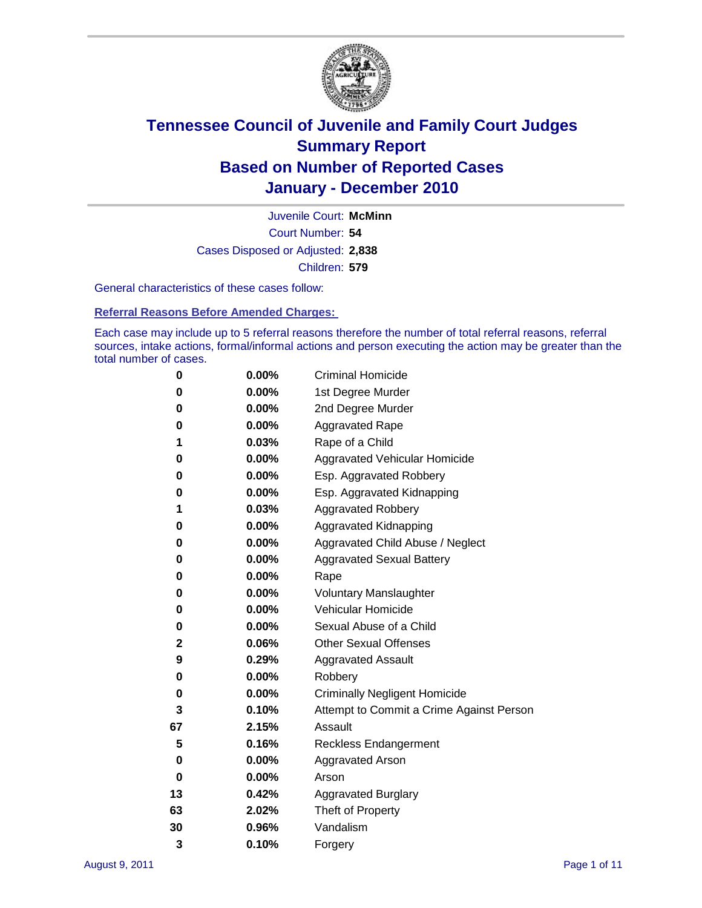

Court Number: **54** Juvenile Court: **McMinn** Cases Disposed or Adjusted: **2,838** Children: **579**

General characteristics of these cases follow:

**Referral Reasons Before Amended Charges:** 

Each case may include up to 5 referral reasons therefore the number of total referral reasons, referral sources, intake actions, formal/informal actions and person executing the action may be greater than the total number of cases.

| 0  | 0.00%    | <b>Criminal Homicide</b>                 |
|----|----------|------------------------------------------|
| 0  | 0.00%    | 1st Degree Murder                        |
| 0  | 0.00%    | 2nd Degree Murder                        |
| 0  | 0.00%    | <b>Aggravated Rape</b>                   |
| 1  | 0.03%    | Rape of a Child                          |
| 0  | 0.00%    | Aggravated Vehicular Homicide            |
| 0  | 0.00%    | Esp. Aggravated Robbery                  |
| 0  | 0.00%    | Esp. Aggravated Kidnapping               |
| 1  | 0.03%    | <b>Aggravated Robbery</b>                |
| 0  | 0.00%    | Aggravated Kidnapping                    |
| 0  | 0.00%    | Aggravated Child Abuse / Neglect         |
| 0  | $0.00\%$ | <b>Aggravated Sexual Battery</b>         |
| 0  | 0.00%    | Rape                                     |
| 0  | 0.00%    | <b>Voluntary Manslaughter</b>            |
| 0  | 0.00%    | Vehicular Homicide                       |
| 0  | 0.00%    | Sexual Abuse of a Child                  |
| 2  | 0.06%    | <b>Other Sexual Offenses</b>             |
| 9  | 0.29%    | <b>Aggravated Assault</b>                |
| 0  | $0.00\%$ | Robbery                                  |
| 0  | 0.00%    | <b>Criminally Negligent Homicide</b>     |
| 3  | 0.10%    | Attempt to Commit a Crime Against Person |
| 67 | 2.15%    | Assault                                  |
| 5  | 0.16%    | <b>Reckless Endangerment</b>             |
| 0  | 0.00%    | <b>Aggravated Arson</b>                  |
| 0  | 0.00%    | Arson                                    |
| 13 | 0.42%    | <b>Aggravated Burglary</b>               |
| 63 | 2.02%    | Theft of Property                        |
| 30 | 0.96%    | Vandalism                                |
| 3  | 0.10%    | Forgery                                  |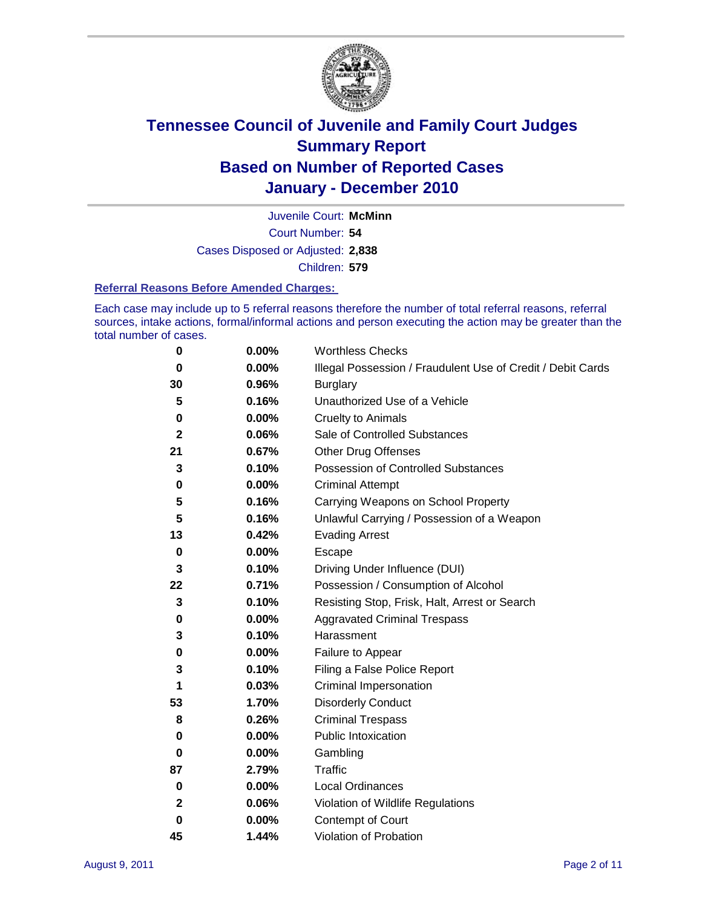

Court Number: **54** Juvenile Court: **McMinn** Cases Disposed or Adjusted: **2,838** Children: **579**

#### **Referral Reasons Before Amended Charges:**

Each case may include up to 5 referral reasons therefore the number of total referral reasons, referral sources, intake actions, formal/informal actions and person executing the action may be greater than the total number of cases.

| 0            | 0.00% | <b>Worthless Checks</b>                                     |
|--------------|-------|-------------------------------------------------------------|
| 0            | 0.00% | Illegal Possession / Fraudulent Use of Credit / Debit Cards |
| 30           | 0.96% | <b>Burglary</b>                                             |
| 5            | 0.16% | Unauthorized Use of a Vehicle                               |
| 0            | 0.00% | <b>Cruelty to Animals</b>                                   |
| $\mathbf{2}$ | 0.06% | Sale of Controlled Substances                               |
| 21           | 0.67% | <b>Other Drug Offenses</b>                                  |
| 3            | 0.10% | Possession of Controlled Substances                         |
| 0            | 0.00% | <b>Criminal Attempt</b>                                     |
| 5            | 0.16% | Carrying Weapons on School Property                         |
| 5            | 0.16% | Unlawful Carrying / Possession of a Weapon                  |
| 13           | 0.42% | <b>Evading Arrest</b>                                       |
| 0            | 0.00% | Escape                                                      |
| 3            | 0.10% | Driving Under Influence (DUI)                               |
| 22           | 0.71% | Possession / Consumption of Alcohol                         |
| 3            | 0.10% | Resisting Stop, Frisk, Halt, Arrest or Search               |
| 0            | 0.00% | <b>Aggravated Criminal Trespass</b>                         |
| 3            | 0.10% | Harassment                                                  |
| 0            | 0.00% | Failure to Appear                                           |
| 3            | 0.10% | Filing a False Police Report                                |
| 1            | 0.03% | Criminal Impersonation                                      |
| 53           | 1.70% | <b>Disorderly Conduct</b>                                   |
| 8            | 0.26% | <b>Criminal Trespass</b>                                    |
| 0            | 0.00% | <b>Public Intoxication</b>                                  |
| 0            | 0.00% | Gambling                                                    |
| 87           | 2.79% | <b>Traffic</b>                                              |
| 0            | 0.00% | <b>Local Ordinances</b>                                     |
| 2            | 0.06% | Violation of Wildlife Regulations                           |
| 0            | 0.00% | Contempt of Court                                           |
| 45           | 1.44% | Violation of Probation                                      |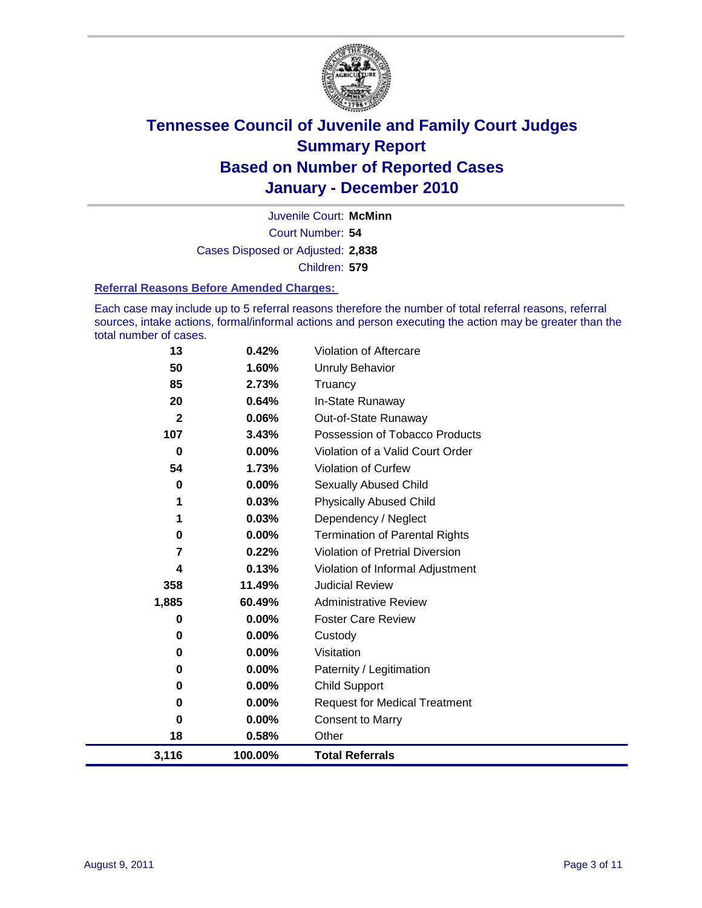

Court Number: **54** Juvenile Court: **McMinn** Cases Disposed or Adjusted: **2,838** Children: **579**

#### **Referral Reasons Before Amended Charges:**

Each case may include up to 5 referral reasons therefore the number of total referral reasons, referral sources, intake actions, formal/informal actions and person executing the action may be greater than the total number of cases.

| 13           | 0.42%    | Violation of Aftercare                 |
|--------------|----------|----------------------------------------|
| 50           | 1.60%    | Unruly Behavior                        |
| 85           | 2.73%    | Truancy                                |
| 20           | 0.64%    | In-State Runaway                       |
| $\mathbf{2}$ | 0.06%    | Out-of-State Runaway                   |
| 107          | 3.43%    | Possession of Tobacco Products         |
| 0            | $0.00\%$ | Violation of a Valid Court Order       |
| 54           | 1.73%    | <b>Violation of Curfew</b>             |
| 0            | 0.00%    | <b>Sexually Abused Child</b>           |
|              | 0.03%    | <b>Physically Abused Child</b>         |
| 1            | 0.03%    | Dependency / Neglect                   |
| $\bf{0}$     | 0.00%    | <b>Termination of Parental Rights</b>  |
| 7            | 0.22%    | <b>Violation of Pretrial Diversion</b> |
| 4            | 0.13%    | Violation of Informal Adjustment       |
| 358          | 11.49%   | <b>Judicial Review</b>                 |
| 1,885        | 60.49%   | <b>Administrative Review</b>           |
| 0            | $0.00\%$ | <b>Foster Care Review</b>              |
| 0            | 0.00%    | Custody                                |
| 0            | $0.00\%$ | Visitation                             |
| 0            | 0.00%    | Paternity / Legitimation               |
| 0            | 0.00%    | Child Support                          |
| $\bf{0}$     | 0.00%    | <b>Request for Medical Treatment</b>   |
| 0            | $0.00\%$ | <b>Consent to Marry</b>                |
| 18           | 0.58%    | Other                                  |
| 3,116        | 100.00%  | <b>Total Referrals</b>                 |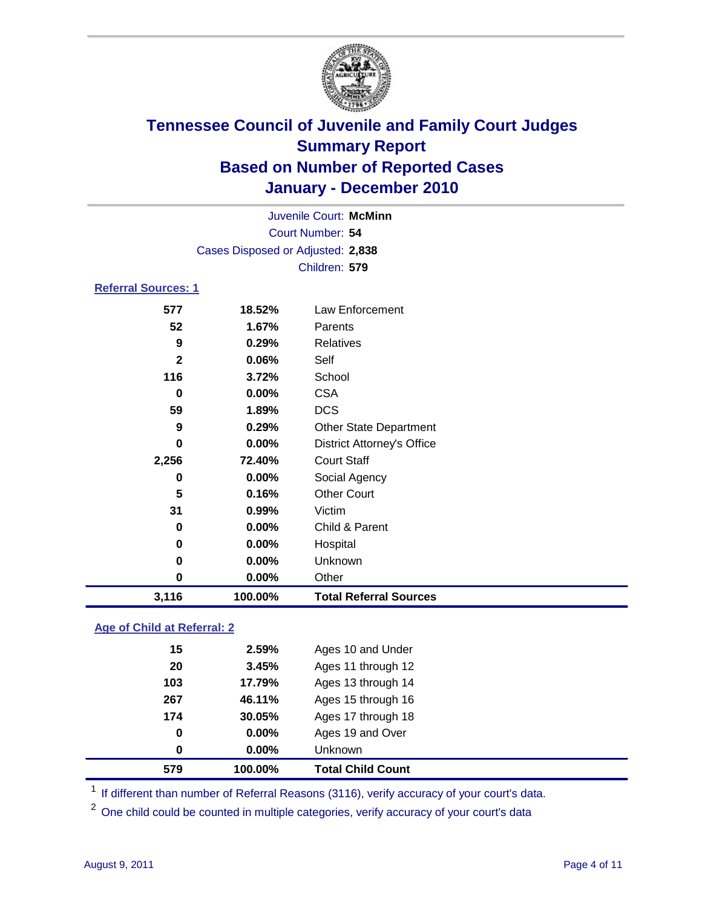

| Juvenile Court: McMinn      |                                   |                                   |  |  |  |
|-----------------------------|-----------------------------------|-----------------------------------|--|--|--|
|                             | Court Number: 54                  |                                   |  |  |  |
|                             | Cases Disposed or Adjusted: 2,838 |                                   |  |  |  |
|                             | Children: 579                     |                                   |  |  |  |
| <b>Referral Sources: 1</b>  |                                   |                                   |  |  |  |
| 577                         | 18.52%                            | <b>Law Enforcement</b>            |  |  |  |
| 52                          | 1.67%                             | Parents                           |  |  |  |
| 9                           | 0.29%                             | <b>Relatives</b>                  |  |  |  |
| $\mathbf{2}$                | 0.06%                             | Self                              |  |  |  |
| 116                         | 3.72%                             | School                            |  |  |  |
| 0                           | 0.00%                             | <b>CSA</b>                        |  |  |  |
| 59                          | 1.89%                             | <b>DCS</b>                        |  |  |  |
| 9                           | 0.29%                             | <b>Other State Department</b>     |  |  |  |
| 0                           | $0.00\%$                          | <b>District Attorney's Office</b> |  |  |  |
| 2,256                       | 72.40%                            | <b>Court Staff</b>                |  |  |  |
| 0                           | 0.00%                             | Social Agency                     |  |  |  |
| 5                           | 0.16%                             | <b>Other Court</b>                |  |  |  |
| 31                          | 0.99%                             | Victim                            |  |  |  |
| 0                           | 0.00%                             | Child & Parent                    |  |  |  |
| 0                           | 0.00%                             | Hospital                          |  |  |  |
| 0                           | 0.00%                             | Unknown                           |  |  |  |
| $\bf{0}$                    | 0.00%                             | Other                             |  |  |  |
| 3,116                       | 100.00%                           | <b>Total Referral Sources</b>     |  |  |  |
| Ann of Child of Doforrol, 2 |                                   |                                   |  |  |  |

### **Age of Child at Referral: 2**

| 579 | 100.00%  | <b>Total Child Count</b> |  |
|-----|----------|--------------------------|--|
| 0   | $0.00\%$ | <b>Unknown</b>           |  |
| 0   | 0.00%    | Ages 19 and Over         |  |
| 174 | 30.05%   | Ages 17 through 18       |  |
| 267 | 46.11%   | Ages 15 through 16       |  |
| 103 | 17.79%   | Ages 13 through 14       |  |
| 20  | 3.45%    | Ages 11 through 12       |  |
| 15  | 2.59%    | Ages 10 and Under        |  |
|     |          |                          |  |

<sup>1</sup> If different than number of Referral Reasons (3116), verify accuracy of your court's data.

<sup>2</sup> One child could be counted in multiple categories, verify accuracy of your court's data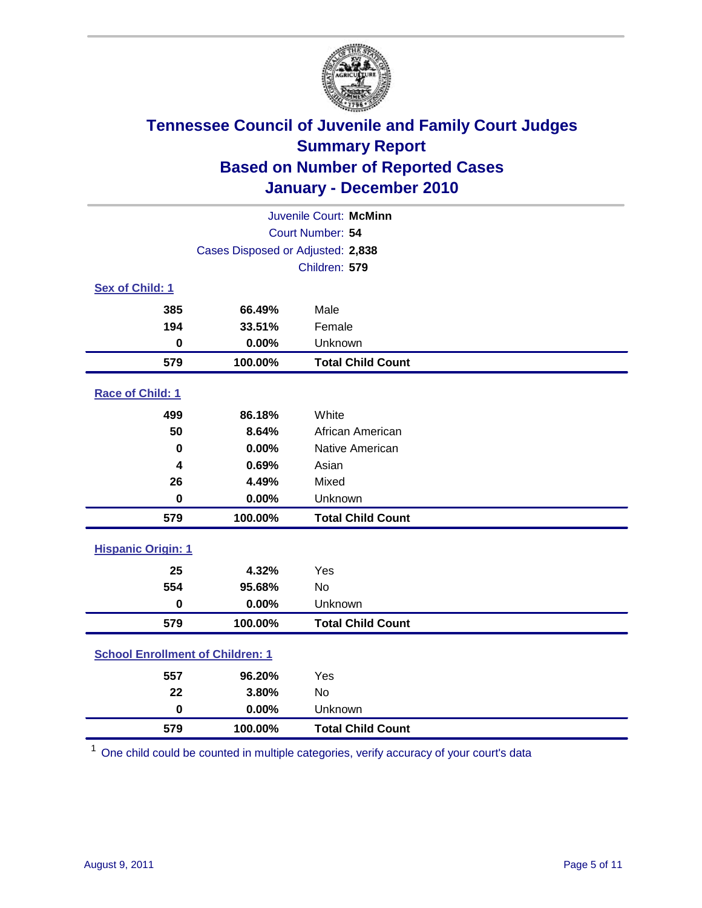

| Juvenile Court: McMinn                  |                                   |                          |  |  |  |
|-----------------------------------------|-----------------------------------|--------------------------|--|--|--|
|                                         | Court Number: 54                  |                          |  |  |  |
|                                         | Cases Disposed or Adjusted: 2,838 |                          |  |  |  |
|                                         |                                   | Children: 579            |  |  |  |
| Sex of Child: 1                         |                                   |                          |  |  |  |
| 385                                     | 66.49%                            | Male                     |  |  |  |
| 194                                     | 33.51%                            | Female                   |  |  |  |
| $\mathbf 0$                             | 0.00%                             | Unknown                  |  |  |  |
| 579                                     | 100.00%                           | <b>Total Child Count</b> |  |  |  |
| Race of Child: 1                        |                                   |                          |  |  |  |
| 499                                     | 86.18%                            | White                    |  |  |  |
| 50                                      | 8.64%                             | African American         |  |  |  |
| 0                                       | 0.00%                             | Native American          |  |  |  |
| 4                                       | 0.69%                             | Asian                    |  |  |  |
| 26                                      | 4.49%                             | Mixed                    |  |  |  |
| $\pmb{0}$                               | 0.00%                             | Unknown                  |  |  |  |
| 579                                     | 100.00%                           | <b>Total Child Count</b> |  |  |  |
| <b>Hispanic Origin: 1</b>               |                                   |                          |  |  |  |
| 25                                      | 4.32%                             | Yes                      |  |  |  |
| 554                                     | 95.68%                            | <b>No</b>                |  |  |  |
| $\mathbf 0$                             | 0.00%                             | Unknown                  |  |  |  |
| 579                                     | 100.00%                           | <b>Total Child Count</b> |  |  |  |
| <b>School Enrollment of Children: 1</b> |                                   |                          |  |  |  |
| 557                                     | 96.20%                            | Yes                      |  |  |  |
| 22                                      | 3.80%                             | No                       |  |  |  |
| $\mathbf 0$                             | 0.00%                             | Unknown                  |  |  |  |
| 579                                     | 100.00%                           | <b>Total Child Count</b> |  |  |  |

One child could be counted in multiple categories, verify accuracy of your court's data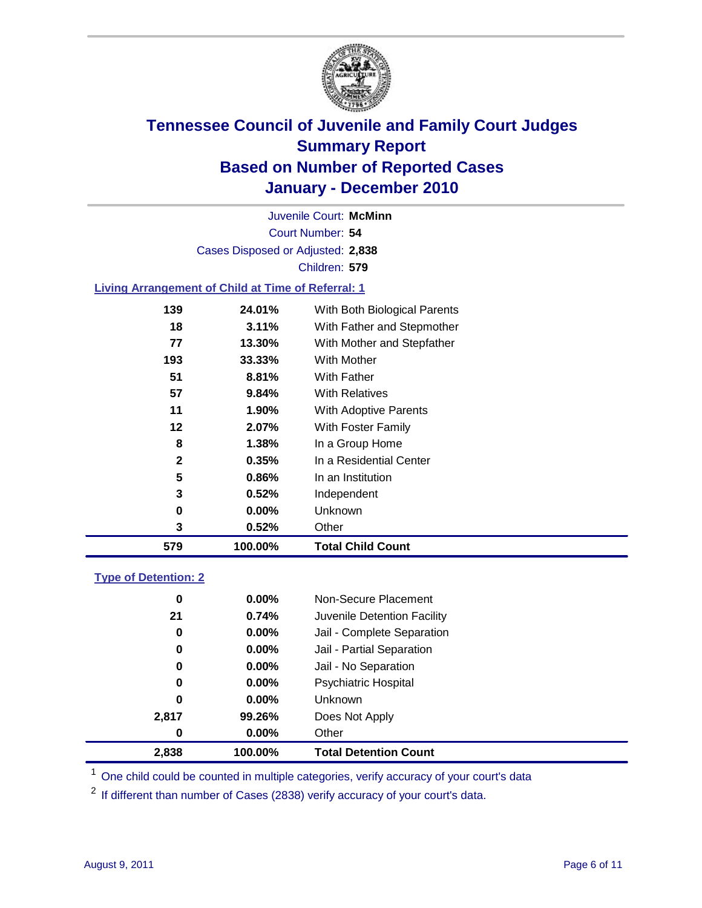

Court Number: **54** Juvenile Court: **McMinn** Cases Disposed or Adjusted: **2,838** Children: **579**

### **Living Arrangement of Child at Time of Referral: 1**

| 579          | 100.00%  | <b>Total Child Count</b>     |
|--------------|----------|------------------------------|
| 3            | 0.52%    | Other                        |
| 0            | 0.00%    | Unknown                      |
| 3            | 0.52%    | Independent                  |
| 5            | 0.86%    | In an Institution            |
| $\mathbf{2}$ | 0.35%    | In a Residential Center      |
| 8            | 1.38%    | In a Group Home              |
| 12           | 2.07%    | With Foster Family           |
| 11           | 1.90%    | With Adoptive Parents        |
| 57           | $9.84\%$ | <b>With Relatives</b>        |
| 51           | 8.81%    | With Father                  |
| 193          | 33.33%   | With Mother                  |
| 77           | 13.30%   | With Mother and Stepfather   |
| 18           | $3.11\%$ | With Father and Stepmother   |
| 139          | 24.01%   | With Both Biological Parents |
|              |          |                              |

### **Type of Detention: 2**

| 2,838    | 100.00%  | <b>Total Detention Count</b> |
|----------|----------|------------------------------|
| $\bf{0}$ | $0.00\%$ | Other                        |
| 2,817    | 99.26%   | Does Not Apply               |
| 0        | 0.00%    | <b>Unknown</b>               |
| 0        | $0.00\%$ | <b>Psychiatric Hospital</b>  |
| 0        | 0.00%    | Jail - No Separation         |
| 0        | 0.00%    | Jail - Partial Separation    |
| 0        | 0.00%    | Jail - Complete Separation   |
| 21       | 0.74%    | Juvenile Detention Facility  |
| 0        | $0.00\%$ | Non-Secure Placement         |
|          |          |                              |

<sup>1</sup> One child could be counted in multiple categories, verify accuracy of your court's data

<sup>2</sup> If different than number of Cases (2838) verify accuracy of your court's data.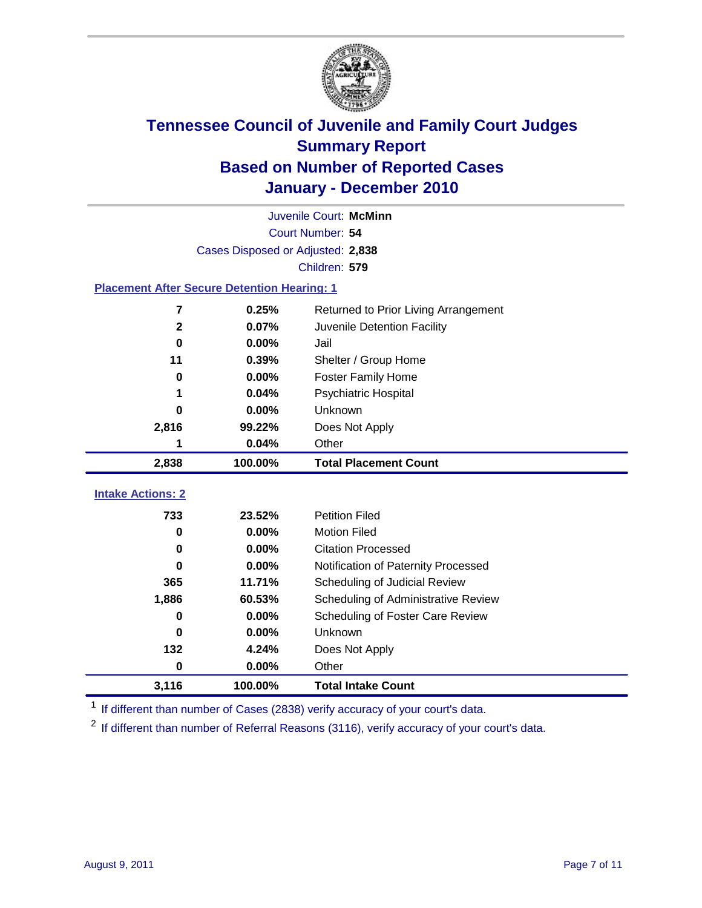

| Juvenile Court: McMinn                             |                                   |                                      |  |  |  |  |
|----------------------------------------------------|-----------------------------------|--------------------------------------|--|--|--|--|
|                                                    | Court Number: 54                  |                                      |  |  |  |  |
|                                                    | Cases Disposed or Adjusted: 2,838 |                                      |  |  |  |  |
|                                                    | Children: 579                     |                                      |  |  |  |  |
| <b>Placement After Secure Detention Hearing: 1</b> |                                   |                                      |  |  |  |  |
| 7                                                  | 0.25%                             | Returned to Prior Living Arrangement |  |  |  |  |
| $\mathbf{2}$                                       | 0.07%                             | Juvenile Detention Facility          |  |  |  |  |
| $\bf{0}$                                           | 0.00%                             | Jail                                 |  |  |  |  |
| 11                                                 | 0.39%                             | Shelter / Group Home                 |  |  |  |  |
| $\mathbf 0$                                        | 0.00%                             | <b>Foster Family Home</b>            |  |  |  |  |
| 1                                                  | 0.04%                             | Psychiatric Hospital                 |  |  |  |  |
| 0                                                  | 0.00%                             | Unknown                              |  |  |  |  |
| 2,816                                              | 99.22%                            | Does Not Apply                       |  |  |  |  |
| 1                                                  | 0.04%                             | Other                                |  |  |  |  |
| 2,838                                              | 100.00%                           | <b>Total Placement Count</b>         |  |  |  |  |
|                                                    |                                   |                                      |  |  |  |  |
| <b>Intake Actions: 2</b>                           |                                   |                                      |  |  |  |  |
| 733                                                | 23.52%                            | <b>Petition Filed</b>                |  |  |  |  |
| $\mathbf 0$                                        | 0.00%                             | <b>Motion Filed</b>                  |  |  |  |  |
| $\bf{0}$                                           | 0.00%                             | <b>Citation Processed</b>            |  |  |  |  |
| <sup>0</sup>                                       | 0.00%                             | Notification of Paternity Processed  |  |  |  |  |
| 365                                                | 11.71%                            | Scheduling of Judicial Review        |  |  |  |  |
| 1,886                                              | 60.53%                            | Scheduling of Administrative Review  |  |  |  |  |
| 0                                                  | 0.00%                             | Scheduling of Foster Care Review     |  |  |  |  |
| 0                                                  | 0.00%                             | <b>Unknown</b>                       |  |  |  |  |
| 132                                                | 4.24%                             | Does Not Apply                       |  |  |  |  |
| $\pmb{0}$                                          | 0.00%                             | Other                                |  |  |  |  |
| 3,116                                              | 100.00%                           | <b>Total Intake Count</b>            |  |  |  |  |

<sup>1</sup> If different than number of Cases (2838) verify accuracy of your court's data.

<sup>2</sup> If different than number of Referral Reasons (3116), verify accuracy of your court's data.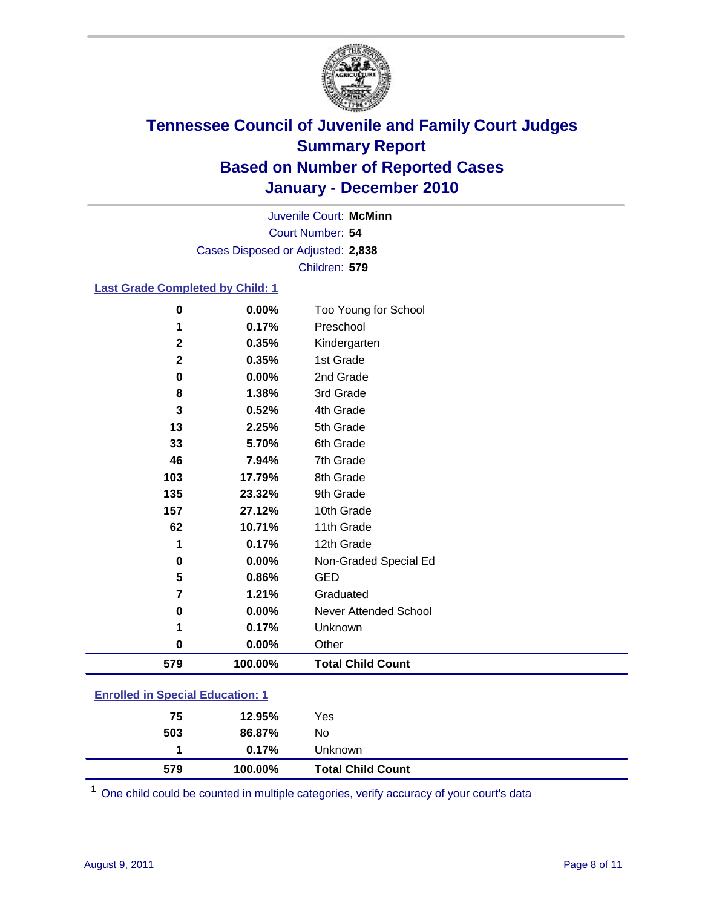

Court Number: **54** Juvenile Court: **McMinn** Cases Disposed or Adjusted: **2,838** Children: **579**

#### **Last Grade Completed by Child: 1**

| $\bf{0}$                                | 0.00%    | Too Young for School         |  |
|-----------------------------------------|----------|------------------------------|--|
| 1                                       | 0.17%    | Preschool                    |  |
| $\mathbf{2}$                            | 0.35%    | Kindergarten                 |  |
| 2                                       | 0.35%    | 1st Grade                    |  |
| 0                                       | $0.00\%$ | 2nd Grade                    |  |
| 8                                       | 1.38%    | 3rd Grade                    |  |
| 3                                       | 0.52%    | 4th Grade                    |  |
| 13                                      | 2.25%    | 5th Grade                    |  |
| 33                                      | 5.70%    | 6th Grade                    |  |
| 46                                      | 7.94%    | 7th Grade                    |  |
| 103                                     | 17.79%   | 8th Grade                    |  |
| 135                                     | 23.32%   | 9th Grade                    |  |
| 157                                     | 27.12%   | 10th Grade                   |  |
| 62                                      | 10.71%   | 11th Grade                   |  |
| 1                                       | 0.17%    | 12th Grade                   |  |
| 0                                       | 0.00%    | Non-Graded Special Ed        |  |
| 5                                       | 0.86%    | <b>GED</b>                   |  |
| 7                                       | 1.21%    | Graduated                    |  |
| 0                                       | 0.00%    | <b>Never Attended School</b> |  |
| 1                                       | 0.17%    | Unknown                      |  |
| 0                                       | $0.00\%$ | Other                        |  |
| 579                                     | 100.00%  | <b>Total Child Count</b>     |  |
| <b>Enrolled in Special Education: 1</b> |          |                              |  |

| 0.17%<br><b>Unknown</b> |
|-------------------------|
| No<br>86.87%            |
| Yes<br>12.95%           |
|                         |

One child could be counted in multiple categories, verify accuracy of your court's data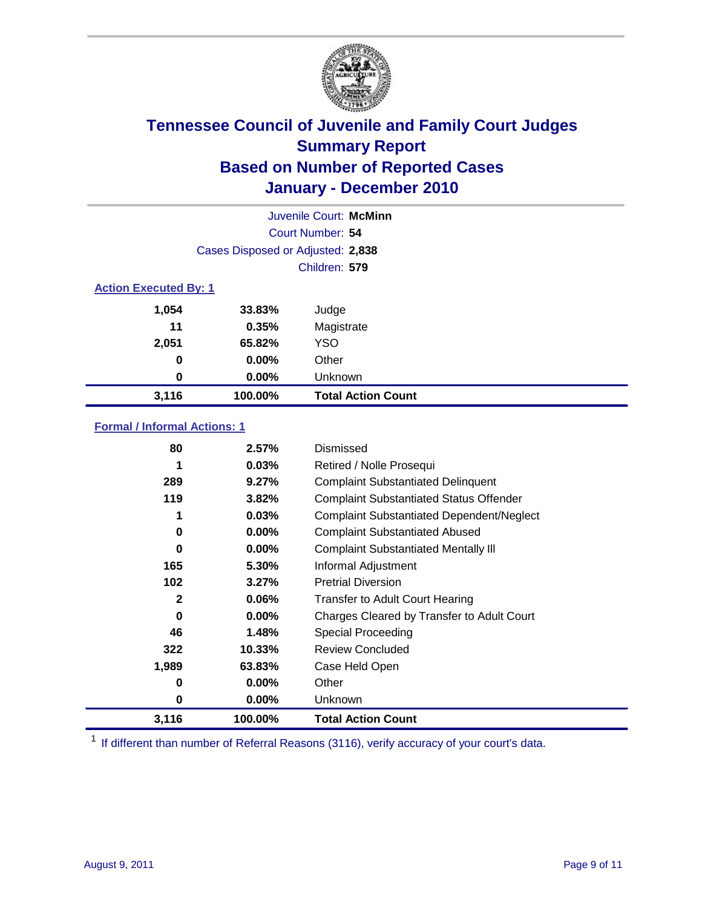

| Juvenile Court: McMinn |                                   |                           |  |  |  |
|------------------------|-----------------------------------|---------------------------|--|--|--|
|                        | Court Number: 54                  |                           |  |  |  |
|                        | Cases Disposed or Adjusted: 2,838 |                           |  |  |  |
|                        | Children: 579                     |                           |  |  |  |
|                        | <b>Action Executed By: 1</b>      |                           |  |  |  |
| 1,054                  | 33.83%                            | Judge                     |  |  |  |
| 11                     | 0.35%                             | Magistrate                |  |  |  |
| 2,051                  | 65.82%                            | <b>YSO</b>                |  |  |  |
| 0                      | 0.00%                             | Other                     |  |  |  |
| 0                      | 0.00%                             | Unknown                   |  |  |  |
| 3,116                  | 100.00%                           | <b>Total Action Count</b> |  |  |  |

### **Formal / Informal Actions: 1**

| 80           | 2.57%     | Dismissed                                        |
|--------------|-----------|--------------------------------------------------|
| 1            | 0.03%     | Retired / Nolle Prosequi                         |
| 289          | 9.27%     | <b>Complaint Substantiated Delinquent</b>        |
| 119          | 3.82%     | <b>Complaint Substantiated Status Offender</b>   |
| 1            | 0.03%     | <b>Complaint Substantiated Dependent/Neglect</b> |
| 0            | $0.00\%$  | <b>Complaint Substantiated Abused</b>            |
| 0            | $0.00\%$  | <b>Complaint Substantiated Mentally III</b>      |
| 165          | 5.30%     | Informal Adjustment                              |
| 102          | 3.27%     | <b>Pretrial Diversion</b>                        |
| $\mathbf{2}$ | $0.06\%$  | <b>Transfer to Adult Court Hearing</b>           |
| 0            | $0.00\%$  | Charges Cleared by Transfer to Adult Court       |
| 46           | 1.48%     | Special Proceeding                               |
| 322          | $10.33\%$ | <b>Review Concluded</b>                          |
| 1,989        | 63.83%    | Case Held Open                                   |
| 0            | $0.00\%$  | Other                                            |
| 0            | $0.00\%$  | <b>Unknown</b>                                   |
| 3,116        | 100.00%   | <b>Total Action Count</b>                        |

<sup>1</sup> If different than number of Referral Reasons (3116), verify accuracy of your court's data.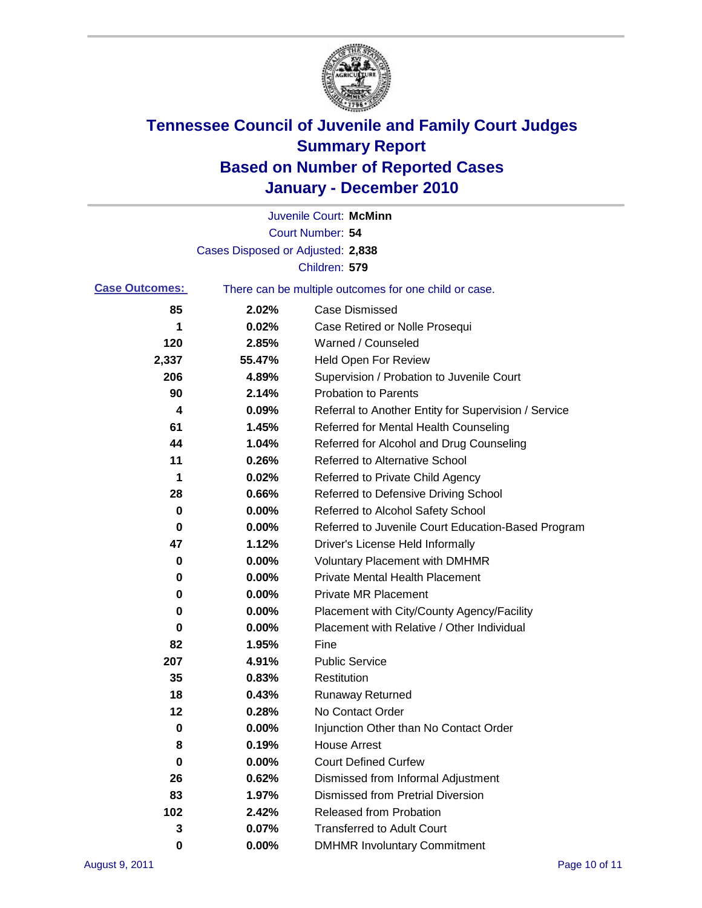

|                       |                                   | Juvenile Court: McMinn                                |
|-----------------------|-----------------------------------|-------------------------------------------------------|
|                       |                                   | Court Number: 54                                      |
|                       | Cases Disposed or Adjusted: 2,838 |                                                       |
|                       |                                   | Children: 579                                         |
| <b>Case Outcomes:</b> |                                   | There can be multiple outcomes for one child or case. |
| 85                    | 2.02%                             | <b>Case Dismissed</b>                                 |
| 1                     | 0.02%                             | Case Retired or Nolle Prosequi                        |
| 120                   | 2.85%                             | Warned / Counseled                                    |
| 2,337                 | 55.47%                            | <b>Held Open For Review</b>                           |
| 206                   | 4.89%                             | Supervision / Probation to Juvenile Court             |
| 90                    | 2.14%                             | <b>Probation to Parents</b>                           |
| 4                     | 0.09%                             | Referral to Another Entity for Supervision / Service  |
| 61                    | 1.45%                             | Referred for Mental Health Counseling                 |
| 44                    | 1.04%                             | Referred for Alcohol and Drug Counseling              |
| 11                    | 0.26%                             | <b>Referred to Alternative School</b>                 |
| 1                     | 0.02%                             | Referred to Private Child Agency                      |
| 28                    | 0.66%                             | Referred to Defensive Driving School                  |
| 0                     | 0.00%                             | Referred to Alcohol Safety School                     |
| 0                     | 0.00%                             | Referred to Juvenile Court Education-Based Program    |
| 47                    | 1.12%                             | Driver's License Held Informally                      |
| 0                     | 0.00%                             | <b>Voluntary Placement with DMHMR</b>                 |
| 0                     | 0.00%                             | <b>Private Mental Health Placement</b>                |
| 0                     | 0.00%                             | <b>Private MR Placement</b>                           |
| 0                     | 0.00%                             | Placement with City/County Agency/Facility            |
| 0                     | 0.00%                             | Placement with Relative / Other Individual            |
| 82                    | 1.95%                             | Fine                                                  |
| 207                   | 4.91%                             | <b>Public Service</b>                                 |
| 35                    | 0.83%                             | Restitution                                           |
| 18                    | 0.43%                             | <b>Runaway Returned</b>                               |
| 12                    | 0.28%                             | No Contact Order                                      |
| 0                     | 0.00%                             | Injunction Other than No Contact Order                |
| 8                     | 0.19%                             | <b>House Arrest</b>                                   |
| 0                     | 0.00%                             | <b>Court Defined Curfew</b>                           |
| 26                    | 0.62%                             | Dismissed from Informal Adjustment                    |
| 83                    | 1.97%                             | <b>Dismissed from Pretrial Diversion</b>              |
| 102                   | 2.42%                             | Released from Probation                               |
| 3                     | 0.07%                             | <b>Transferred to Adult Court</b>                     |
| 0                     | $0.00\%$                          | <b>DMHMR Involuntary Commitment</b>                   |